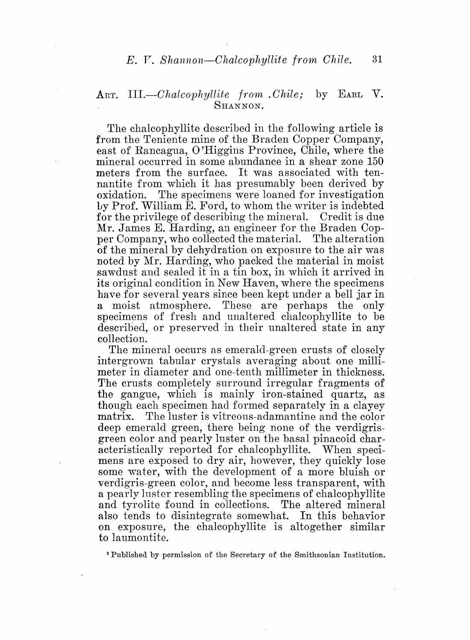## ART. *III.-Chalcophyllite from .Chile;* by EARL V. SHANNON.

The chalcophyllite described in the following article is from the Teniente mine of the Braden Copper Company, east of Rancagua, 0 'Higgins Province, Chile, where the mineral occurred in some abundance in a shear zone 150 meters from the surface. It was associated with tennantite from which it has presumably been derived by oxidation. The specimens were loaned for investigation Ly Prof. William E. Ford, to whom the writer is indebted for the privilege of describing the mineral. Credit is due Mr. James E. Harding, an engineer for the Braden Copper Company, who collected the material. The alteration of the mineral by dehydration on exposure to the air was noted by Mr. Harding, who packed the material in moist sawdust and sealed it in a tin box, in which it arrived in its original condition in New Haven, where the specimens have for several years since been kept under a bell jar in a moist atmosphere. These are perhaps the only specimens of fresh and unaltered chalcophyllite to be described, or preserved in their unaltered state in any collection.

The mineral occurs as emerald-green crusts of closely intergrown tabular crystals averaging about one millimeter in diameter and one-tenth millimeter in thickness. The crusts completely surround irregular fragments of the gangue, which is mainly iron-stained quartz, as though each specimen had formed separately in a clayey matrix; The luster is vitreous-adamantine and the color deep emerald green, there being none of the verdigrisgreen color and pearly luster on the basal pinacoid characteristically reported for chalcophyllite. When specimens are exposed to dry air, however, they quickly lose some water, with the development of a more bluish or verdigris-green color, and become less transparent, with a pearly luster resembling the specimens of chalcophyllite and tyrolite found in collections. The altered mineral also tends to disintegrate somewhat. on exposure, the chalcophyllite is altogether similar to laumontite.

1 Published by permission of the Secretary of the Smithsonian Institution.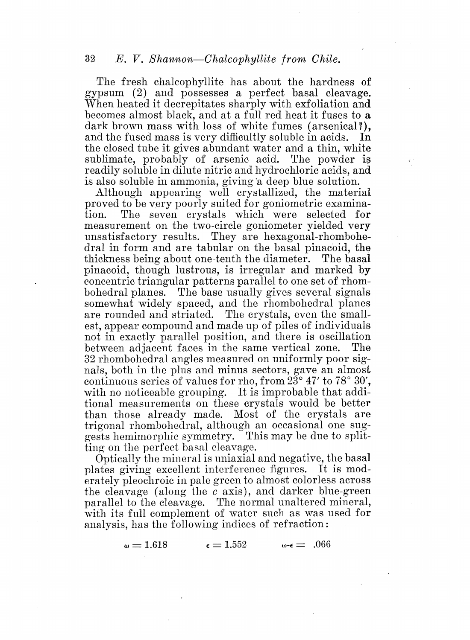The fresh chalcophyllite has about the hardness of gypsum (2) and possesses a perfect basal cleavage. 'Vhen heated it decrepitates sharply with exfoliation and becomes almost black, and at a full red heat it fuses to a dark brown mass with loss of white fumes (arsenical?), and the fused mass is very difficultly soluble in acids. In and the fused mass is very difficultly soluble in acids. the closed tube it gives abundant water and a thin, white sublimate, probably of arsenic acid. The powder is readily soluble in dilute nitric and hydrochloric acids, and is also soluble in ammonia, giving 'a deep blue solution.

Although appearing well crystallized, the material proved to be very poorly suited for goniometric examina-<br>tion. The seven crystals which were selected for The seven crystals which were selected for measurement on the two-circle goniometer yielded very unsatisfactory results. They are hexagonal-rhombohedral in form and are tabular on the basal pinacoid, the thickness being' about one-tenth the diameter. The basal pinacoid, though lustrous, is irregular and marked by concentric triangular patterns parallel to one set of rhombohedral planes. The base usually gives several signals somewhat widely spaced, and the rhombohedral planes are rounded and striated. The crystals, even the smallest, appear compound and made up of piles of individuals not in exactly parallel position, and there is oscillation between adjacent faces in the same vertical zone. The 32 rhombohedral angles measured on uniformly poor signals, both in the plus and minus sectors, gave an almost continuous series of values for rho, from 23° 47' to 78° 30', with no noticeable grouping. It is improbable that additional measurements on these crystals would be better than those already made. Most of the crystals are trigonal rhombohedral, although an occasional one suggests hemimorphic symmetry. This may be due to splitting on the perfect basal cleavage.

Optically the mineral is uniaxial and negative, the basal plates giving excellent interference figures. It is moderately pleochroic in pale green to almost colorless across the cleavage (along the *c* axis), and darker blue-green parallel to the cleavage. The normal unaltered mineral, with its full complement of water such as was used for analysis, has the following indices of refraction:

 $\omega = 1.618$   $\epsilon = 1.552$   $\omega$ - $\epsilon = .066$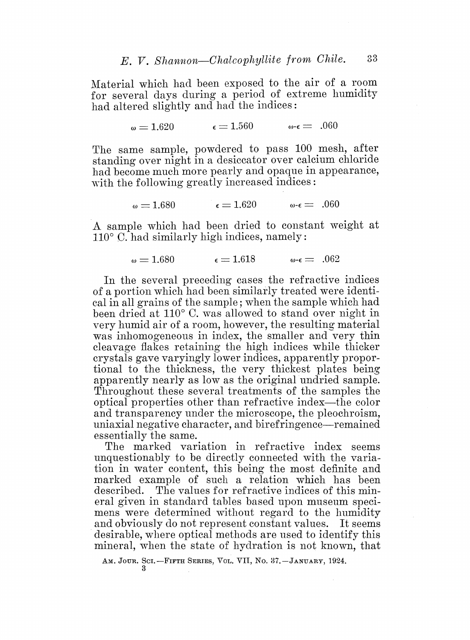Material which had been exposed to the air of a room for several days during a period of extreme humidity had altered slightly and had the indices:

$$
\omega = 1.620 \qquad \qquad \varepsilon = 1.560 \qquad \qquad \omega - \varepsilon = .060
$$

The same sample, powdered to pass 100 mesh, after standing over night in a desiccator over calcium chloride had become much more pearly and opaque in appearance, with the following greatly increased indices:

$$
\omega = 1.680 \qquad \qquad \epsilon = 1.620 \qquad \qquad \omega - \epsilon = .060
$$

A sample which had been dried to constant weight at  $110^{\circ}$  C. had similarly high indices, namely:

$$
\omega = 1.680 \qquad \epsilon = 1.618 \qquad \omega \text{-}\epsilon = .062
$$

In the several preceding cases the refractive indices of a portion which had been similarly treated were identical in all grains of the sample; when the sample which had been dried at  $110^{\circ}$  C, was allowed to stand over night in very humid air of a room, however, the resulting material was inhomogeneous in index, the smaller and very thin cleavage Hakes retaining the high indices while thicker crystals gave varyingly lower indices, apparently proportional to the thickness, the very thickest plates being apparently nearly as low as the original undried sample. Throughout these several treatments of the samples the optical properties other than refractive index-the color and transparency under the microscope, the pleochroism, uniaxial negative character, and birefringence—remained essentially the same.

The marked variation in refractive index seems unquestionably to be directly connected with the variation in water content, this being the most definite and marked example of such a relation which has been described. The values for refractive indices of this mineral given in standard tables based upon museum specimens were determined without regard to the humidity and obviously do not represent constant values. It seems desirable, where optical methods are used to identify this mineral, when the state of hydration is not known, that

AM. JOUR. SCI. -- FIFTH SERIES, VOL. VII, NO. 37. -- JANUARY, 1924.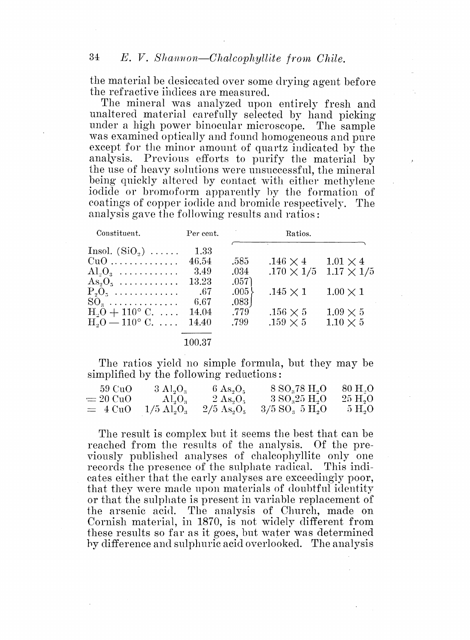the material be desiceated over some drying agent before the refractive indices are measured.

The mineral was analyzed upon entirely fresh and unaltered material carefully selected by hand picking under a high power binocular microscope. The sample was examined optically and found homogeneous and pure except for the minor amount of quartz indicated by the analysis. Previous efforts to purify the material by the use of heavy solutions were unsuccessful, the mineral being quickly altered by contact with either methylene iodide or bromoform apparently by the formation of coatings of copper iodide and bromide respectively. The analysis gave the following results and ratios:

| Constituent.                   | Per cent. | Ratios.    |                   |                   |  |
|--------------------------------|-----------|------------|-------------------|-------------------|--|
| Insol. $(SiO_2) \ldots \ldots$ | 1.33      |            |                   |                   |  |
| $CuO$                          | 46.54     | .585       | $.146 \times 4$   | $1.01 \times 4$   |  |
| $\text{Al}_3\text{O}_3$        | 3.49      | .034       | $.170 \times 1/5$ | $1.17 \times 1/5$ |  |
| $\text{As}_2\text{O}_5$        | 13.23     | .057)      |                   |                   |  |
| $P_2O_5$                       | .67       | .005       | $.145 \times 1$   | $1.00 \times 1$   |  |
| $SO_3$                         | 6.67      | $.083$ $ $ |                   |                   |  |
| $H_0 + 110^{\circ}$ C.         | 14.04     | .779       | $.156 \times 5$   | $1.09 \times 5$   |  |
| $H_0 = 110^{\circ}$ C.         | 14.40     | .799       | $.159 \times 5$   | $1.10 \times 5$   |  |
|                                |           |            |                   |                   |  |

## 100.37

The ratios yield no simple formula, but they may be simplified by the following reductions:

| 59 CuO     | $3 \text{ Al}_2\text{O}_3$               | $6 \text{ As}_2\text{O}_5$        | 8 S0 <sub>3</sub> 78 H <sub>2</sub> O        | $80\ \mathrm{H}$ . $\mathrm{O}$ |
|------------|------------------------------------------|-----------------------------------|----------------------------------------------|---------------------------------|
| $= 20$ CuO | $\rm Al_3O_3$                            | $2 \text{ As} \cdot \text{O}_5$   | $3\,\mathrm{SO}_325\,\mathrm{H}_2\mathrm{O}$ | $25 \text{ H}_{\circ} \text{O}$ |
| $= 4$ CuO  | $1/5 \ \mathrm{Al}_\ast \mathrm{O}_\ast$ | $2/5 \,\mathrm{As}_2\mathrm{O}_5$ | $3/5 \text{ SO}_3 \ 5 \text{ H}_2\text{O}$   | 5H <sub>2</sub> O               |

The result is complex but it seems the best that can be reached from the results of the analysis. Of the previously published analyses of chalcophyllite only one records the presence of the sulphate radical. This indicates either that the early analyses are exceedingly poor, that they were made upon materials of doubtful identity or that the sulphate is present in variable replacement of the arsenic acid. The analysis of Church, made on Cornish material, in 1870, is not widely different from these results so far as it goes, but water was determined by difference and sulphuric acid overlooked. The analysis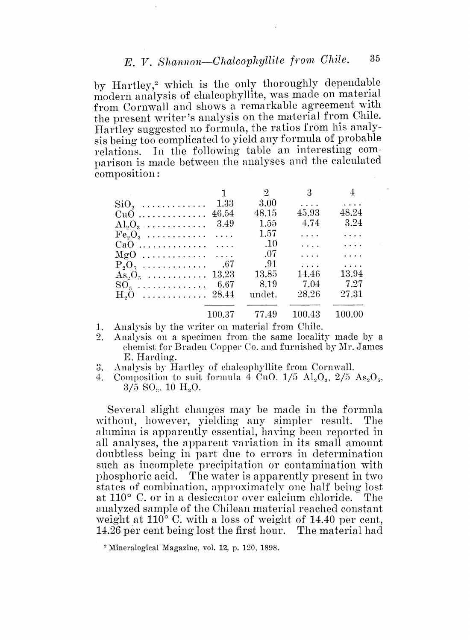## E. V. Shannon-Chalcophyllite from Chile.

by Hartley,<sup>2</sup> which is the only thoroughly dependable modern analysis of chalcophyllite, was made on material from Cornwall and shows a remarkable agreement with the present writer's analysis on the material from Chile. Hartley suggested no formula, the ratios from his analysis being too complicated to yield any formula of probable relations. In the following table an interesting comparison is made between the analyses and the calculated composition:

|                                             | $\mathbf{1}$ | $\overline{2}$               | $\overline{\mathbf{3}}$         | $\pm$        |
|---------------------------------------------|--------------|------------------------------|---------------------------------|--------------|
| $\mathrm{SiO}_{\circ}$                      | 1.33         | 3.00                         | $\mathbb{Z}^2$ . $\mathbb{Z}^2$ | $\sim$       |
| $CuO$                                       | 46.54        | 48.15                        | 45.93                           | 48.24        |
| $\mathrm{Al}_9\mathrm{O}_3$                 | 3.49         | 1.55                         | 4.74                            | 3.24         |
|                                             |              | 1.57                         | $\ldots$ .                      | $\cdots$ .   |
|                                             |              | $\overline{\phantom{0}}$ .10 | $\cdots$                        | $\sim 1.1$ . |
|                                             |              | $_{-07}$                     | $\ldots$ .                      | $\ldots$ .   |
| $P_2O_2$                                    | .67          | - .91                        | $\cdots$                        | $\ldots$ .   |
| $As_2O_5 \ldots \ldots \ldots \ldots 13.23$ |              | 13.85                        | 14.46                           | 13.94        |
| $SO_3$ 6.67                                 |              | 8.19                         | -7.04                           | - 7.27       |
| $H_2O$ 28.44                                |              | undet.                       | 28.26                           | 27.31        |
|                                             |              |                              |                                 |              |
|                                             | 100.37       | 77.49                        | 100.43                          | 100.00       |

Analysis by the writer on material from Chile.  $1.$ 

- Analysis on a specimen from the same locality made by a  $2.$ chemist for Braden Copper Co. and furnished by Mr. James E. Harding.
- Analysis by Hartley of chalcophyllite from Cornwall. 3.
- $4.$ Composition to suit formula 4 CuO,  $1/5$  Al<sub>2</sub>O<sub>3</sub>,  $2/5$  As<sub>2</sub>O<sub>5</sub>,  $3/5$  SO<sub>2</sub>, 10 H<sub>2</sub>O<sub>2</sub>

Several slight changes may be made in the formula without, however, yielding any simpler result. The alumina is apparently essential, having been reported in all analyses, the apparent variation in its small amount doubtless being in part due to errors in determination such as incomplete precipitation or contamination with phosphoric acid. The water is apparently present in two states of combination, approximately one half being lost at  $110^{\circ}$  C, or in a desiccator over calcium chloride. The analyzed sample of the Chilean material reached constant weight at  $110^{\circ}$  C, with a loss of weight of 14.40 per cent, 14.26 per cent being lost the first hour. The material had

<sup>&</sup>lt;sup>2</sup> Mineralogical Magazine, vol. 12, p. 120, 1898.